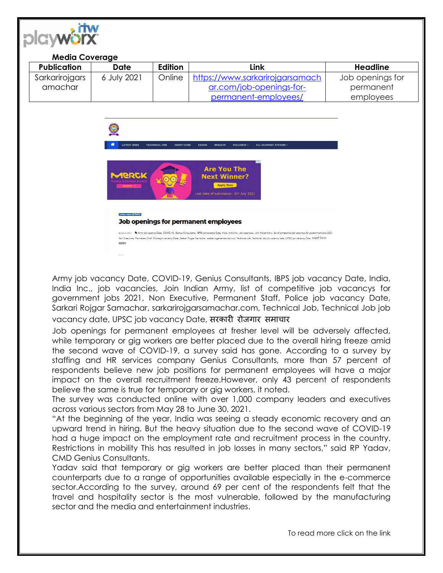

## **Media Coverage**

| Publication    | Date        | Edition | Link                            | Headline         |
|----------------|-------------|---------|---------------------------------|------------------|
| Sarkarirojgars | 6 July 2021 | Online  | https://www.sarkarirojgarsamach | Job openings for |
| amachar        |             |         | ar.com/job-openings-for-        | permanent        |
|                |             |         | permanent-employees/            | employees        |



Army job vacancy Date, COVID-19, Genius Consultants, IBPS job vacancy Date, India, India Inc., job vacancies, Join Indian Army, list of competitive job vacancys for government jobs 2021, Non Executive, Permanent Staff, Police job vacancy Date, Sarkari Rojgar Samachar, sarkarirojgarsamachar.com, Technical Job, Technical Job job vacancy date, UPSC job vacancy Date, सरकारी रोजगार समाचार

Job openings for permanent employees at fresher level will be adversely affected, while temporary or gig workers are better placed due to the overall hiring freeze amid the second wave of COVID-19, a survey said has gone. According to a survey by staffing and HR services company Genius Consultants, more than 57 percent of respondents believe new job positions for permanent employees will have a major impact on the overall recruitment freeze.However, only 43 percent of respondents believe the same is true for temporary or gig workers, it noted.

The survey was conducted online with over 1,000 company leaders and executives across various sectors from May 28 to June 30, 2021.

"At the beginning of the year, India was seeing a steady economic recovery and an upward trend in hiring. But the heavy situation due to the second wave of COVID-19 had a huge impact on the employment rate and recruitment process in the country. Restrictions in mobility This has resulted in job losses in many sectors," said RP Yadav, CMD Genius Consultants.

Yadav said that temporary or gig workers are better placed than their permanent counterparts due to a range of opportunities available especially in the e-commerce sector.According to the survey, around 69 per cent of the respondents felt that the travel and hospitality sector is the most vulnerable, followed by the manufacturing sector and the media and entertainment industries.

To read more click on the link